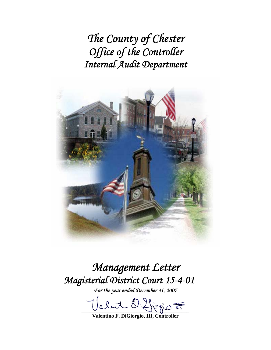*The County of Chester Office of the Controller Internal Audit Department* 



# *Management Letter Magisterial District Court 15-4-01*

*For the year ended December 31, 2007* 

let Officrie <del>to</del>

**Valentino F. DiGiorgio, III, Controller**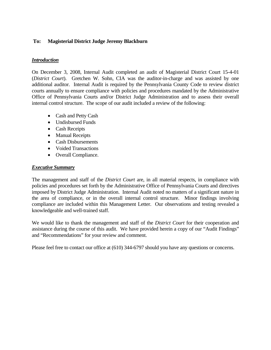## **To: Magisterial District Judge Jeremy Blackburn**

## *Introduction*

On December 3, 2008, Internal Audit completed an audit of Magisterial District Court 15-4-01 (*District Court*). Gretchen W. Sohn, CIA was the auditor-in-charge and was assisted by one additional auditor. Internal Audit is required by the Pennsylvania County Code to review district courts annually to ensure compliance with policies and procedures mandated by the Administrative Office of Pennsylvania Courts and/or District Judge Administration and to assess their overall internal control structure. The scope of our audit included a review of the following:

- Cash and Petty Cash
- Undisbursed Funds
- Cash Receipts
- Manual Receipts
- Cash Disbursements
- Voided Transactions
- Overall Compliance.

#### *Executive Summary*

The management and staff of the *District Court* are, in all material respects, in compliance with policies and procedures set forth by the Administrative Office of Pennsylvania Courts and directives imposed by District Judge Administration. Internal Audit noted no matters of a significant nature in the area of compliance, or in the overall internal control structure. Minor findings involving compliance are included within this Management Letter. Our observations and testing revealed a knowledgeable and well-trained staff.

We would like to thank the management and staff of the *District Court* for their cooperation and assistance during the course of this audit. We have provided herein a copy of our "Audit Findings" and "Recommendations" for your review and comment.

Please feel free to contact our office at (610) 344-6797 should you have any questions or concerns.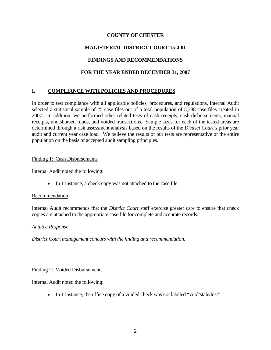## **COUNTY OF CHESTER**

# **MAGISTERIAL DISTRICT COURT 15-4-01**

# **FINDINGS AND RECOMMENDATIONS**

## **FOR THE YEAR ENDED DECEMBER 31, 2007**

# **I. COMPLIANCE WITH POLICIES AND PROCEDURES**

In order to test compliance with all applicable policies, procedures, and regulations, Internal Audit selected a statistical sample of 25 case files out of a total population of 5,388 case files created in 2007. In addition, we performed other related tests of cash receipts, cash disbursements, manual receipts, undisbursed funds, and voided transactions. Sample sizes for each of the tested areas are determined through a risk assessment analysis based on the results of the *District Court's* prior year audit and current year case load. We believe the results of our tests are representative of the entire population on the basis of accepted audit sampling principles.

#### Finding 1: Cash Disbursements

Internal Audit noted the following:

• In 1 instance, a check copy was not attached to the case file.

#### Recommendation

Internal Audit recommends that the *District Court* staff exercise greater care to ensure that check copies are attached to the appropriate case file for complete and accurate records.

#### *Auditee Response*

*District Court management concurs with the finding and recommendation.* 

#### Finding 2: Voided Disbursements

Internal Audit noted the following:

• In 1 instance, the office copy of a voided check was not labeled "void/stale/lost".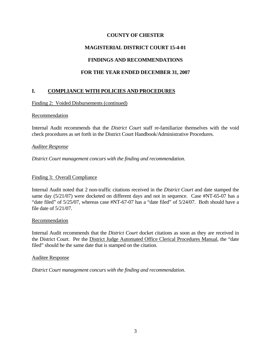## **COUNTY OF CHESTER**

## **MAGISTERIAL DISTRICT COURT 15-4-01**

## **FINDINGS AND RECOMMENDATIONS**

# **FOR THE YEAR ENDED DECEMBER 31, 2007**

# **I. COMPLIANCE WITH POLICIES AND PROCEDURES**

#### Finding 2: Voided Disbursements (continued)

#### Recommendation

Internal Audit recommends that the *District Court* staff re-familiarize themselves with the void check procedures as set forth in the District Court Handbook/Administrative Procedures.

#### *Auditee Response*

*District Court management concurs with the finding and recommendation.* 

#### Finding 3: Overall Compliance

Internal Audit noted that 2 non-traffic citations received in the *District Court* and date stamped the same day (5/21/07) were docketed on different days and not in sequence. Case #NT-65-07 has a "date filed" of 5/25/07, whereas case #NT-67-07 has a "date filed" of 5/24/07. Both should have a file date of 5/21/07.

#### **Recommendation**

Internal Audit recommends that the *District Court* docket citations as soon as they are received in the District Court. Per the District Judge Automated Office Clerical Procedures Manual, the "date filed" should be the same date that is stamped on the citation.

#### Auditee Response

*District Court management concurs with the finding and recommendation.*